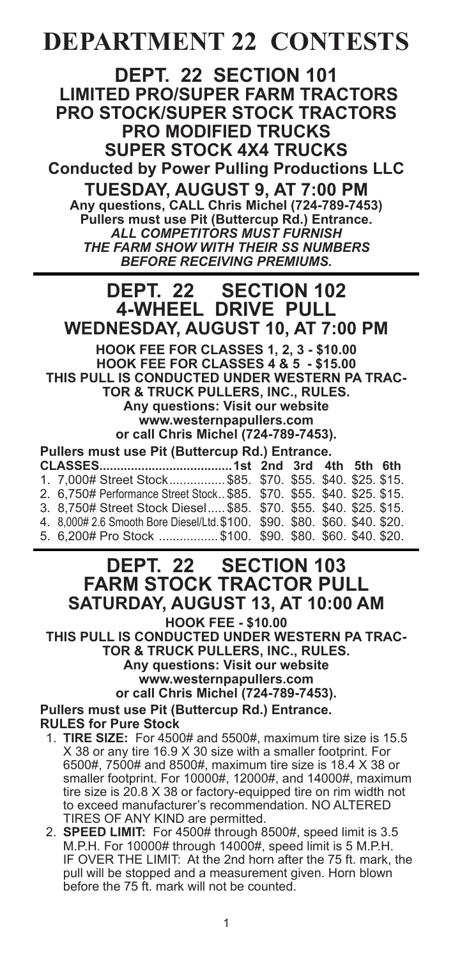# **DEPARTMENT 22 CONTESTS**

**DEPT. 22 SECTION 101 LIMITED PRO/SUPER FARM TRACTORS PRO STOCK/SUPER STOCK TRACTORS PRO MODIFIED TRUCKS SUPER STOCK 4X4 TRUCKS**

**Conducted by Power Pulling Productions LLC**

**TUESDAY, AUGUST 9, AT 7:00 PM Any questions, CALL Chris Michel (724-789-7453) Pullers must use Pit (Buttercup Rd.) Entrance.** *ALL COMPETITORS MUST FURNISH THE FARM SHOW WITH THEIR SS NUMBERS BEFORE RECEIVING PREMIUMS.*

## **DEPT. 22 SECTION 102 4-WHEEL DRIVE PULL WEDNESDAY, AUGUST 10, AT 7:00 PM**

**HOOK FEE FOR CLASSES 1, 2, 3 - \$10.00 HOOK FEE FOR CLASSES 4 & 5 - \$15.00 THIS PULL IS CONDUCTED UNDER WESTERN PA TRAC-TOR & TRUCK PULLERS, INC., RULES. Any questions: Visit our website www.westernpapullers.com or call Chris Michel (724-789-7453). Pullers must use Pit (Buttercup Rd.) Entrance. CLASSES......................................1st 2nd 3rd 4th 5th 6th**

| 1. 7,000# Street Stock \$85. \$70. \$55. \$40. \$25. \$15.                 |  |  |  |
|----------------------------------------------------------------------------|--|--|--|
| 2. 6.750# Performance Street Stock \$85. \$70. \$55. \$40. \$25. \$15.     |  |  |  |
| 3. 8.750# Street Stock Diesel \$85. \$70. \$55. \$40. \$25. \$15.          |  |  |  |
| 4. 8,000# 2.6 Smooth Bore Diesel/Ltd. \$100. \$90. \$80. \$60. \$40. \$20. |  |  |  |
| 5. 6.200# Pro Stock \$100. \$90. \$80. \$60. \$40. \$20.                   |  |  |  |
|                                                                            |  |  |  |

# **DEPT. 22 SECTION 103 FARM STOCK TRACTOR PULL SATURDAY, AUGUST 13, AT 10:00 AM**

**HOOK FEE - \$10.00**

**THIS PULL IS CONDUCTED UNDER WESTERN PA TRAC-TOR & TRUCK PULLERS, INC., RULES. Any questions: Visit our website www.westernpapullers.com or call Chris Michel (724-789-7453). Pullers must use Pit (Buttercup Rd.) Entrance.**

**RULES for Pure Stock**

- 1. **TIRE SIZE:** For 4500# and 5500#, maximum tire size is 15.5 X 38 or any tire 16.9 X 30 size with a smaller footprint. For 6500#, 7500# and 8500#, maximum tire size is 18.4 X 38 or smaller footprint. For 10000#, 12000#, and 14000#, maximum tire size is 20.8 X 38 or factory-equipped tire on rim width not to exceed manufacturer's recommendation. NO ALTERED TIRES OF ANY KIND are permitted.
- 2. **SPEED LIMIT:** For 4500# through 8500#, speed limit is 3.5 M.P.H. For 10000# through 14000#, speed limit is 5 M.P.H. IF OVER THE LIMIT: At the 2nd horn after the 75 ft. mark, the pull will be stopped and a measurement given. Horn blown before the 75 ft. mark will not be counted.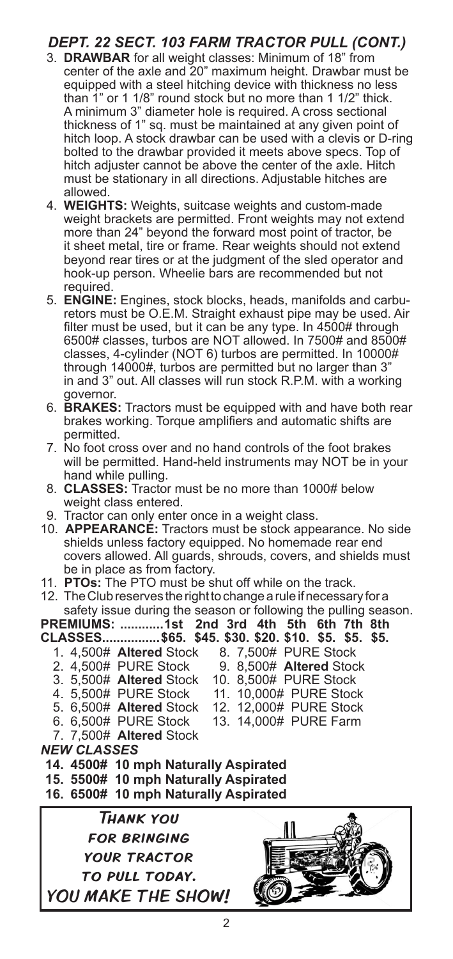### *DEPT. 22 SECT. 103 FARM TRACTOR PULL (CONT.)*

- 3. **DRAWBAR** for all weight classes: Minimum of 18" from center of the axle and 20" maximum height. Drawbar must be equipped with a steel hitching device with thickness no less than 1" or 1 1/8" round stock but no more than 1 1/2" thick. A minimum 3" diameter hole is required. A cross sectional thickness of 1" sq. must be maintained at any given point of hitch loop. A stock drawbar can be used with a clevis or D-ring bolted to the drawbar provided it meets above specs. Top of hitch adjuster cannot be above the center of the axle. Hitch must be stationary in all directions. Adjustable hitches are allowed.
- 4. **WEIGHTS:** Weights, suitcase weights and custom-made weight brackets are permitted. Front weights may not extend more than 24" beyond the forward most point of tractor, be it sheet metal, tire or frame. Rear weights should not extend beyond rear tires or at the judgment of the sled operator and hook-up person. Wheelie bars are recommended but not required.
- 5. **ENGINE:** Engines, stock blocks, heads, manifolds and carburetors must be O.E.M. Straight exhaust pipe may be used. Air filter must be used, but it can be any type. In 4500# through 6500# classes, turbos are NOT allowed. In 7500# and 8500# classes, 4-cylinder (NOT 6) turbos are permitted. In 10000# through 14000#, turbos are permitted but no larger than 3" in and 3" out. All classes will run stock R.P.M. with a working governor.
- 6. **BRAKES:** Tractors must be equipped with and have both rear brakes working. Torque amplifiers and automatic shifts are permitted.
- 7. No foot cross over and no hand controls of the foot brakes will be permitted. Hand-held instruments may NOT be in your hand while pulling.
- 8. **CLASSES:** Tractor must be no more than 1000# below weight class entered.
- 9. Tractor can only enter once in a weight class.
- 10. **APPEARANCE:** Tractors must be stock appearance. No side shields unless factory equipped. No homemade rear end covers allowed. All guards, shrouds, covers, and shields must be in place as from factory.
- 11. **PTOs:** The PTO must be shut off while on the track.
- 12. The Club reserves the right to change a rule if necessary for a safety issue during the season or following the pulling season.
- **PREMIUMS: ............1st 2nd 3rd 4th 5th 6th 7th 8th**
- **CLASSES................\$65. \$45. \$30. \$20. \$10. \$5. \$5. \$5.** 1. 4,500# **Altered** Stock 8. 7,500# PURE Stock
	- 2. 4,500# PURE Stock 9. 8,500# **Altered** Stock
	- 3. 5,500# **Altered** Stock<br>4. 5,500# PURE Stock
	- 4. 5,500# PURE Stock 11. 10,000# PURE Stock<br>5. 6,500# Altered Stock 12. 12,000# PURE Stock
	-
	- 6. 6,500# PURE Stock
	- 7. 7,500# **Altered** Stock
- *NEW CLASSES* **14. 4500# 10 mph Naturally Aspirated**
- 
- **15. 5500# 10 mph Naturally Aspirated 16. 6500# 10 mph Naturally Aspirated**
- Thank you for bringing your tractor TO PULL TODAY. YOU MAKE THE SHOW!
- 

12. 12,000# PURE Stock<br>13. 14,000# PURE Farm